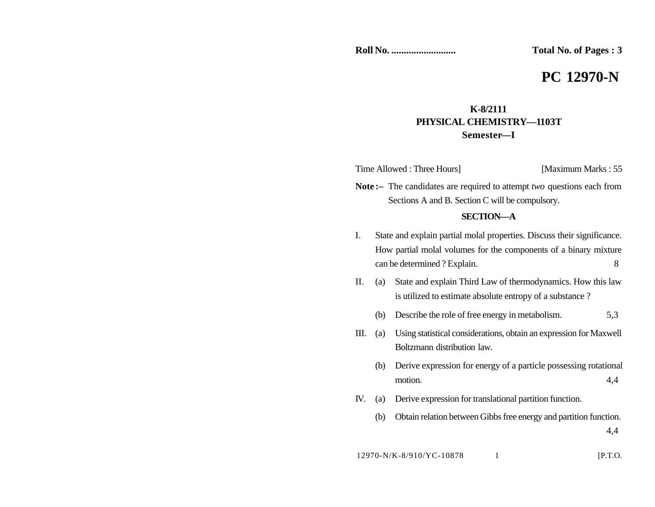**Roll No. .......................... Total No. of Pages : 3**

# **PC 12970-N**

## **K-8/2111 PHYSICAL CHEMISTRY—1103T Semester—I**

Time Allowed : Three Hours] [Maximum Marks : 55]

**Note :–** The candidates are required to attempt *two* questions each from Sections A and B. Section C will be compulsory.

#### **SECTION—A**

- I. State and explain partial molal properties. Discuss their significance. How partial molal volumes for the components of a binary mixture can be determined ? Explain. 8
- II. (a) State and explain Third Law of thermodynamics. How this law is utilized to estimate absolute entropy of a substance ?
	- (b) Describe the role of free energy in metabolism. 5,3
- III. (a) Using statistical considerations, obtain an expression for Maxwell Boltzmann distribution law.
	- (b) Derive expression for energy of a particle possessing rotational motion. 4,4
- IV. (a) Derive expression for translational partition function.
	- (b) Obtain relation between Gibbs free energy and partition function.

4,4

12970-N/K-8/910/YC-10878 1 [P.T.O.]